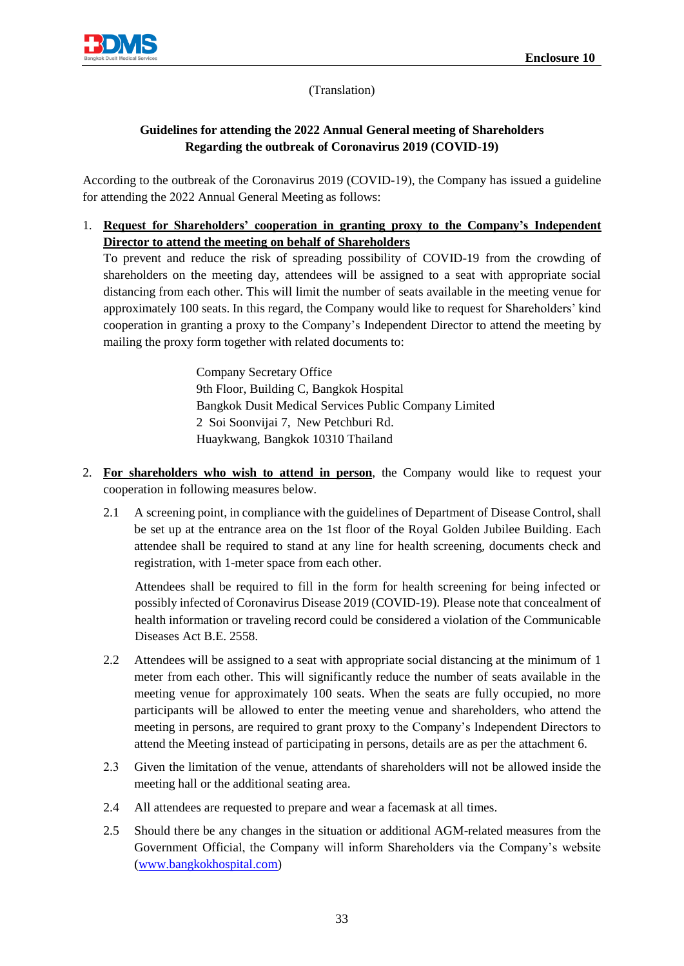

(Translation)

## **Guidelines for attending the 2022 Annual General meeting of Shareholders Regarding the outbreak of Coronavirus 2019 (COVID-19)**

According to the outbreak of the Coronavirus 2019 (COVID-19), the Company has issued a guideline for attending the 2022 Annual General Meeting as follows:

1. **Request for Shareholders' cooperation in granting proxy to the Company's Independent Director to attend the meeting on behalf of Shareholders**

To prevent and reduce the risk of spreading possibility of COVID-19 from the crowding of shareholders on the meeting day, attendees will be assigned to a seat with appropriate social distancing from each other. This will limit the number of seats available in the meeting venue for approximately 100 seats. In this regard, the Company would like to request for Shareholders' kind cooperation in granting a proxy to the Company's Independent Director to attend the meeting by mailing the proxy form together with related documents to:

> Company Secretary Office 9th Floor, Building C, Bangkok Hospital Bangkok Dusit Medical Services Public Company Limited 2 Soi Soonvijai 7, New Petchburi Rd. Huaykwang, Bangkok 10310 Thailand

- 2. **For shareholders who wish to attend in person**, the Company would like to request your cooperation in following measures below.
	- 2.1 A screening point, in compliance with the guidelines of Department of Disease Control, shall be set up at the entrance area on the 1st floor of the Royal Golden Jubilee Building. Each attendee shall be required to stand at any line for health screening, documents check and registration, with 1-meter space from each other.

Attendees shall be required to fill in the form for health screening for being infected or possibly infected of Coronavirus Disease 2019 (COVID-19). Please note that concealment of health information or traveling record could be considered a violation of the Communicable Diseases Act B.E. 2558.

- 2.2 Attendees will be assigned to a seat with appropriate social distancing at the minimum of 1 meter from each other. This will significantly reduce the number of seats available in the meeting venue for approximately 100 seats. When the seats are fully occupied, no more participants will be allowed to enter the meeting venue and shareholders, who attend the meeting in persons, are required to grant proxy to the Company's Independent Directors to attend the Meeting instead of participating in persons, details are as per the attachment 6.
- 2.3 Given the limitation of the venue, attendants of shareholders will not be allowed inside the meeting hall or the additional seating area.
- 2.4 All attendees are requested to prepare and wear a facemask at all times.
- 2.5 Should there be any changes in the situation or additional AGM-related measures from the Government Official, the Company will inform Shareholders via the Company's website [\(www.bangkokhospital.com](http://www.bangkokhospital.co.th/))